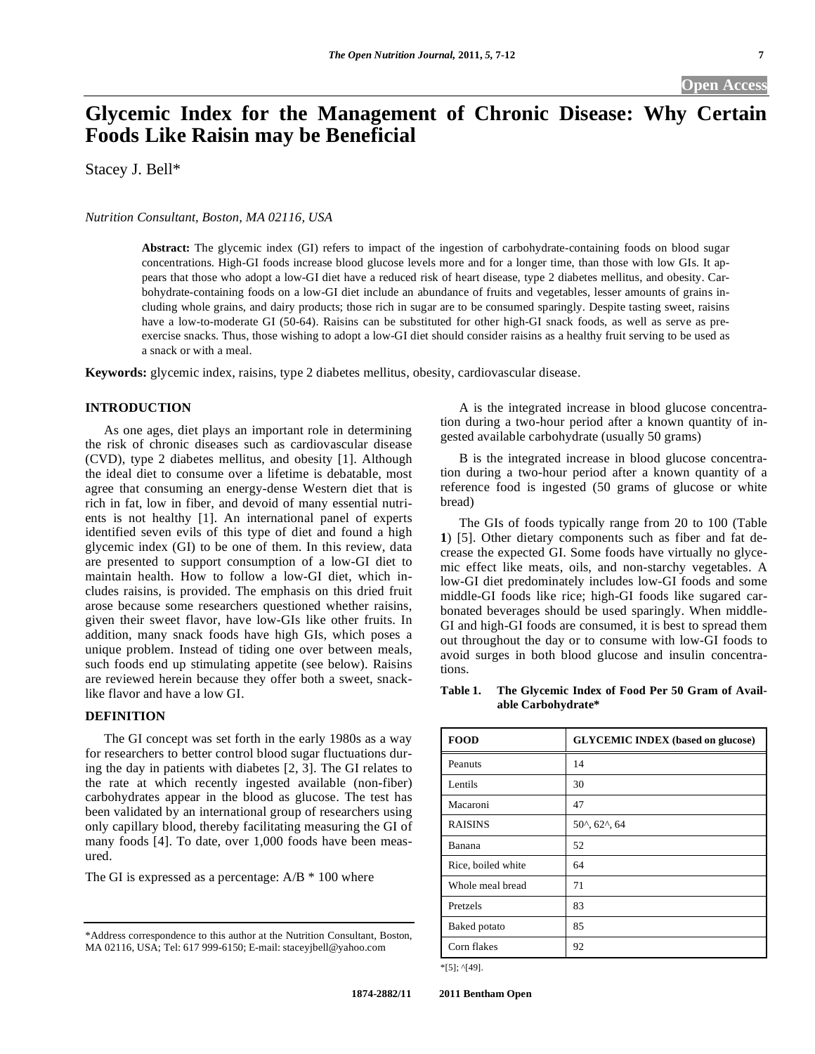# **Open Access**

# **Glycemic Index for the Management of Chronic Disease: Why Certain Foods Like Raisin may be Beneficial**

Stacey J. Bell\*

*Nutrition Consultant, Boston, MA 02116, USA* 

**Abstract:** The glycemic index (GI) refers to impact of the ingestion of carbohydrate-containing foods on blood sugar concentrations. High-GI foods increase blood glucose levels more and for a longer time, than those with low GIs. It appears that those who adopt a low-GI diet have a reduced risk of heart disease, type 2 diabetes mellitus, and obesity. Carbohydrate-containing foods on a low-GI diet include an abundance of fruits and vegetables, lesser amounts of grains including whole grains, and dairy products; those rich in sugar are to be consumed sparingly. Despite tasting sweet, raisins have a low-to-moderate GI (50-64). Raisins can be substituted for other high-GI snack foods, as well as serve as preexercise snacks. Thus, those wishing to adopt a low-GI diet should consider raisins as a healthy fruit serving to be used as a snack or with a meal.

**Keywords:** glycemic index, raisins, type 2 diabetes mellitus, obesity, cardiovascular disease.

# **INTRODUCTION**

 As one ages, diet plays an important role in determining the risk of chronic diseases such as cardiovascular disease (CVD), type 2 diabetes mellitus, and obesity [1]. Although the ideal diet to consume over a lifetime is debatable, most agree that consuming an energy-dense Western diet that is rich in fat, low in fiber, and devoid of many essential nutrients is not healthy [1]. An international panel of experts identified seven evils of this type of diet and found a high glycemic index (GI) to be one of them. In this review, data are presented to support consumption of a low-GI diet to maintain health. How to follow a low-GI diet, which includes raisins, is provided. The emphasis on this dried fruit arose because some researchers questioned whether raisins, given their sweet flavor, have low-GIs like other fruits. In addition, many snack foods have high GIs, which poses a unique problem. Instead of tiding one over between meals, such foods end up stimulating appetite (see below). Raisins are reviewed herein because they offer both a sweet, snacklike flavor and have a low GI.

#### **DEFINITION**

 The GI concept was set forth in the early 1980s as a way for researchers to better control blood sugar fluctuations during the day in patients with diabetes [2, 3]. The GI relates to the rate at which recently ingested available (non-fiber) carbohydrates appear in the blood as glucose. The test has been validated by an international group of researchers using only capillary blood, thereby facilitating measuring the GI of many foods [4]. To date, over 1,000 foods have been measured.

The GI is expressed as a percentage: A/B \* 100 where

 A is the integrated increase in blood glucose concentration during a two-hour period after a known quantity of ingested available carbohydrate (usually 50 grams)

 B is the integrated increase in blood glucose concentration during a two-hour period after a known quantity of a reference food is ingested (50 grams of glucose or white bread)

 The GIs of foods typically range from 20 to 100 (Table **1**) [5]. Other dietary components such as fiber and fat decrease the expected GI. Some foods have virtually no glycemic effect like meats, oils, and non-starchy vegetables. A low-GI diet predominately includes low-GI foods and some middle-GI foods like rice; high-GI foods like sugared carbonated beverages should be used sparingly. When middle-GI and high-GI foods are consumed, it is best to spread them out throughout the day or to consume with low-GI foods to avoid surges in both blood glucose and insulin concentrations.

**Table 1. The Glycemic Index of Food Per 50 Gram of Available Carbohydrate\*** 

| <b>FOOD</b>        | <b>GLYCEMIC INDEX</b> (based on glucose) |
|--------------------|------------------------------------------|
| Peanuts            | 14                                       |
| Lentils            | 30                                       |
| Macaroni           | 47                                       |
| <b>RAISINS</b>     | $50^{\circ}, 62^{\circ}, 64$             |
| Banana             | 52                                       |
| Rice, boiled white | 64                                       |
| Whole meal bread   | 71                                       |
| Pretzels           | 83                                       |
| Baked potato       | 85                                       |
| Corn flakes        | 92                                       |

\*[5]; ^[49].

<sup>\*</sup>Address correspondence to this author at the Nutrition Consultant, Boston, MA 02116, USA; Tel: 617 999-6150; E-mail: staceyjbell@yahoo.com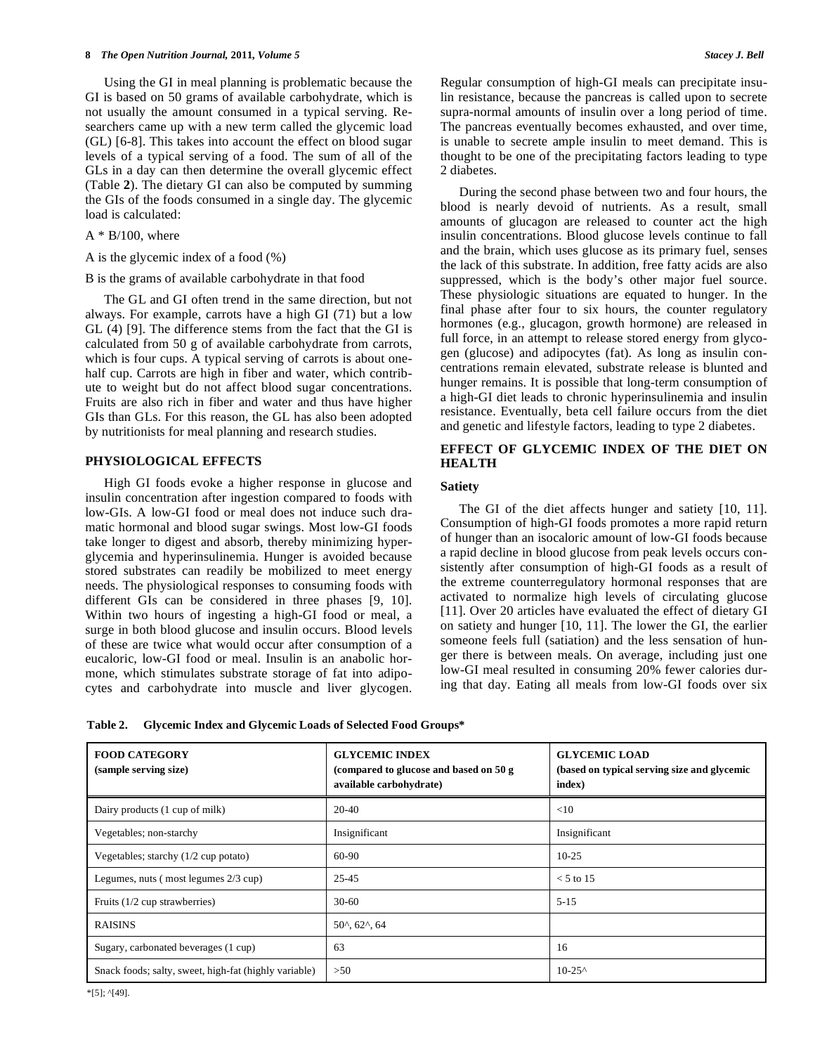Using the GI in meal planning is problematic because the GI is based on 50 grams of available carbohydrate, which is not usually the amount consumed in a typical serving. Researchers came up with a new term called the glycemic load (GL) [6-8]. This takes into account the effect on blood sugar levels of a typical serving of a food. The sum of all of the GLs in a day can then determine the overall glycemic effect (Table **2**). The dietary GI can also be computed by summing the GIs of the foods consumed in a single day. The glycemic load is calculated:

# $A * B/100$ , where

A is the glycemic index of a food (%)

# B is the grams of available carbohydrate in that food

 The GL and GI often trend in the same direction, but not always. For example, carrots have a high GI (71) but a low GL (4) [9]. The difference stems from the fact that the GI is calculated from 50 g of available carbohydrate from carrots, which is four cups. A typical serving of carrots is about onehalf cup. Carrots are high in fiber and water, which contribute to weight but do not affect blood sugar concentrations. Fruits are also rich in fiber and water and thus have higher GIs than GLs. For this reason, the GL has also been adopted by nutritionists for meal planning and research studies.

# **PHYSIOLOGICAL EFFECTS**

 High GI foods evoke a higher response in glucose and insulin concentration after ingestion compared to foods with low-GIs. A low-GI food or meal does not induce such dramatic hormonal and blood sugar swings. Most low-GI foods take longer to digest and absorb, thereby minimizing hyperglycemia and hyperinsulinemia. Hunger is avoided because stored substrates can readily be mobilized to meet energy needs. The physiological responses to consuming foods with different GIs can be considered in three phases [9, 10]. Within two hours of ingesting a high-GI food or meal, a surge in both blood glucose and insulin occurs. Blood levels of these are twice what would occur after consumption of a eucaloric, low-GI food or meal. Insulin is an anabolic hormone, which stimulates substrate storage of fat into adipocytes and carbohydrate into muscle and liver glycogen. Regular consumption of high-GI meals can precipitate insulin resistance, because the pancreas is called upon to secrete supra-normal amounts of insulin over a long period of time. The pancreas eventually becomes exhausted, and over time, is unable to secrete ample insulin to meet demand. This is thought to be one of the precipitating factors leading to type 2 diabetes.

 During the second phase between two and four hours, the blood is nearly devoid of nutrients. As a result, small amounts of glucagon are released to counter act the high insulin concentrations. Blood glucose levels continue to fall and the brain, which uses glucose as its primary fuel, senses the lack of this substrate. In addition, free fatty acids are also suppressed, which is the body's other major fuel source. These physiologic situations are equated to hunger. In the final phase after four to six hours, the counter regulatory hormones (e.g., glucagon, growth hormone) are released in full force, in an attempt to release stored energy from glycogen (glucose) and adipocytes (fat). As long as insulin concentrations remain elevated, substrate release is blunted and hunger remains. It is possible that long-term consumption of a high-GI diet leads to chronic hyperinsulinemia and insulin resistance. Eventually, beta cell failure occurs from the diet and genetic and lifestyle factors, leading to type 2 diabetes.

# **EFFECT OF GLYCEMIC INDEX OF THE DIET ON HEALTH**

# **Satiety**

 The GI of the diet affects hunger and satiety [10, 11]. Consumption of high-GI foods promotes a more rapid return of hunger than an isocaloric amount of low-GI foods because a rapid decline in blood glucose from peak levels occurs consistently after consumption of high-GI foods as a result of the extreme counterregulatory hormonal responses that are activated to normalize high levels of circulating glucose [11]. Over 20 articles have evaluated the effect of dietary GI on satiety and hunger [10, 11]. The lower the GI, the earlier someone feels full (satiation) and the less sensation of hunger there is between meals. On average, including just one low-GI meal resulted in consuming 20% fewer calories during that day. Eating all meals from low-GI foods over six

**Table 2. Glycemic Index and Glycemic Loads of Selected Food Groups\*** 

| <b>FOOD CATEGORY</b><br>(sample serving size)         | <b>GLYCEMIC INDEX</b><br>(compared to glucose and based on 50 g)<br>available carbohydrate) | <b>GLYCEMIC LOAD</b><br>(based on typical serving size and glycemic<br>index) |
|-------------------------------------------------------|---------------------------------------------------------------------------------------------|-------------------------------------------------------------------------------|
| Dairy products (1 cup of milk)                        | 20-40                                                                                       | $<$ 10                                                                        |
| Vegetables; non-starchy                               | Insignificant                                                                               | Insignificant                                                                 |
| Vegetables; starchy $(1/2$ cup potato)                | 60-90                                                                                       | $10-25$                                                                       |
| Legumes, nuts (most legumes 2/3 cup)                  | $25 - 45$                                                                                   | $< 5$ to 15                                                                   |
| Fruits $(1/2$ cup strawberries)                       | $30-60$                                                                                     | $5 - 15$                                                                      |
| <b>RAISINS</b>                                        | $50^{\circ}$ , 62 $^{\circ}$ , 64                                                           |                                                                               |
| Sugary, carbonated beverages (1 cup)                  | 63                                                                                          | 16                                                                            |
| Snack foods; salty, sweet, high-fat (highly variable) | >50                                                                                         | $10 - 25^{\circ}$                                                             |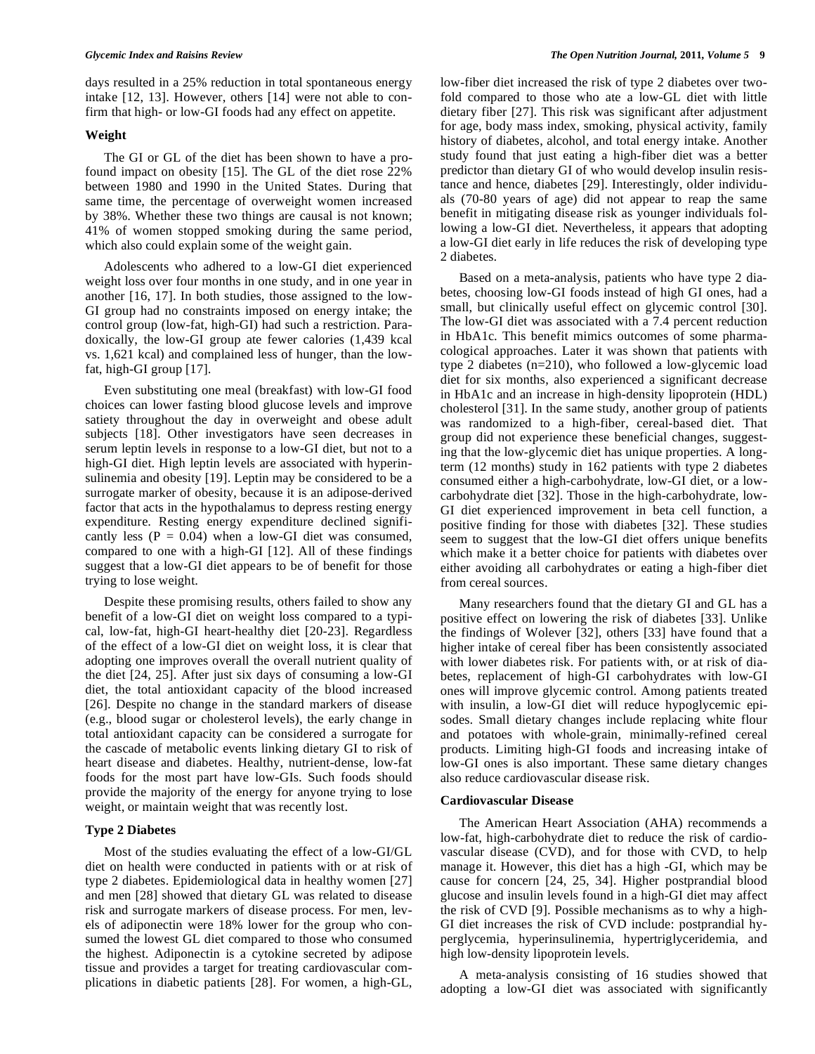days resulted in a 25% reduction in total spontaneous energy intake [12, 13]. However, others [14] were not able to confirm that high- or low-GI foods had any effect on appetite.

# **Weight**

 The GI or GL of the diet has been shown to have a profound impact on obesity [15]. The GL of the diet rose 22% between 1980 and 1990 in the United States. During that same time, the percentage of overweight women increased by 38%. Whether these two things are causal is not known; 41% of women stopped smoking during the same period, which also could explain some of the weight gain.

 Adolescents who adhered to a low-GI diet experienced weight loss over four months in one study, and in one year in another [16, 17]. In both studies, those assigned to the low-GI group had no constraints imposed on energy intake; the control group (low-fat, high-GI) had such a restriction. Paradoxically, the low-GI group ate fewer calories (1,439 kcal vs. 1,621 kcal) and complained less of hunger, than the lowfat, high-GI group [17].

 Even substituting one meal (breakfast) with low-GI food choices can lower fasting blood glucose levels and improve satiety throughout the day in overweight and obese adult subjects [18]. Other investigators have seen decreases in serum leptin levels in response to a low-GI diet, but not to a high-GI diet. High leptin levels are associated with hyperinsulinemia and obesity [19]. Leptin may be considered to be a surrogate marker of obesity, because it is an adipose-derived factor that acts in the hypothalamus to depress resting energy expenditure. Resting energy expenditure declined significantly less ( $P = 0.04$ ) when a low-GI diet was consumed, compared to one with a high-GI [12]. All of these findings suggest that a low-GI diet appears to be of benefit for those trying to lose weight.

 Despite these promising results, others failed to show any benefit of a low-GI diet on weight loss compared to a typical, low-fat, high-GI heart-healthy diet [20-23]. Regardless of the effect of a low-GI diet on weight loss, it is clear that adopting one improves overall the overall nutrient quality of the diet [24, 25]. After just six days of consuming a low-GI diet, the total antioxidant capacity of the blood increased [26]. Despite no change in the standard markers of disease (e.g., blood sugar or cholesterol levels), the early change in total antioxidant capacity can be considered a surrogate for the cascade of metabolic events linking dietary GI to risk of heart disease and diabetes. Healthy, nutrient-dense, low-fat foods for the most part have low-GIs. Such foods should provide the majority of the energy for anyone trying to lose weight, or maintain weight that was recently lost.

# **Type 2 Diabetes**

 Most of the studies evaluating the effect of a low-GI/GL diet on health were conducted in patients with or at risk of type 2 diabetes. Epidemiological data in healthy women [27] and men [28] showed that dietary GL was related to disease risk and surrogate markers of disease process. For men, levels of adiponectin were 18% lower for the group who consumed the lowest GL diet compared to those who consumed the highest. Adiponectin is a cytokine secreted by adipose tissue and provides a target for treating cardiovascular complications in diabetic patients [28]. For women, a high-GL,

low-fiber diet increased the risk of type 2 diabetes over twofold compared to those who ate a low-GL diet with little dietary fiber [27]. This risk was significant after adjustment for age, body mass index, smoking, physical activity, family history of diabetes, alcohol, and total energy intake. Another study found that just eating a high-fiber diet was a better predictor than dietary GI of who would develop insulin resistance and hence, diabetes [29]. Interestingly, older individuals (70-80 years of age) did not appear to reap the same benefit in mitigating disease risk as younger individuals following a low-GI diet. Nevertheless, it appears that adopting a low-GI diet early in life reduces the risk of developing type 2 diabetes.

 Based on a meta-analysis, patients who have type 2 diabetes, choosing low-GI foods instead of high GI ones, had a small, but clinically useful effect on glycemic control [30]. The low-GI diet was associated with a 7.4 percent reduction in HbA1c. This benefit mimics outcomes of some pharmacological approaches. Later it was shown that patients with type 2 diabetes (n=210), who followed a low-glycemic load diet for six months, also experienced a significant decrease in HbA1c and an increase in high-density lipoprotein (HDL) cholesterol [31]. In the same study, another group of patients was randomized to a high-fiber, cereal-based diet. That group did not experience these beneficial changes, suggesting that the low-glycemic diet has unique properties. A longterm (12 months) study in 162 patients with type 2 diabetes consumed either a high-carbohydrate, low-GI diet, or a lowcarbohydrate diet [32]. Those in the high-carbohydrate, low-GI diet experienced improvement in beta cell function, a positive finding for those with diabetes [32]. These studies seem to suggest that the low-GI diet offers unique benefits which make it a better choice for patients with diabetes over either avoiding all carbohydrates or eating a high-fiber diet from cereal sources.

 Many researchers found that the dietary GI and GL has a positive effect on lowering the risk of diabetes [33]. Unlike the findings of Wolever [32], others [33] have found that a higher intake of cereal fiber has been consistently associated with lower diabetes risk. For patients with, or at risk of diabetes, replacement of high-GI carbohydrates with low-GI ones will improve glycemic control. Among patients treated with insulin, a low-GI diet will reduce hypoglycemic episodes. Small dietary changes include replacing white flour and potatoes with whole-grain, minimally-refined cereal products. Limiting high-GI foods and increasing intake of low-GI ones is also important. These same dietary changes also reduce cardiovascular disease risk.

# **Cardiovascular Disease**

 The American Heart Association (AHA) recommends a low-fat, high-carbohydrate diet to reduce the risk of cardiovascular disease (CVD), and for those with CVD, to help manage it. However, this diet has a high -GI, which may be cause for concern [24, 25, 34]. Higher postprandial blood glucose and insulin levels found in a high-GI diet may affect the risk of CVD [9]. Possible mechanisms as to why a high-GI diet increases the risk of CVD include: postprandial hyperglycemia, hyperinsulinemia, hypertriglyceridemia, and high low-density lipoprotein levels.

 A meta-analysis consisting of 16 studies showed that adopting a low-GI diet was associated with significantly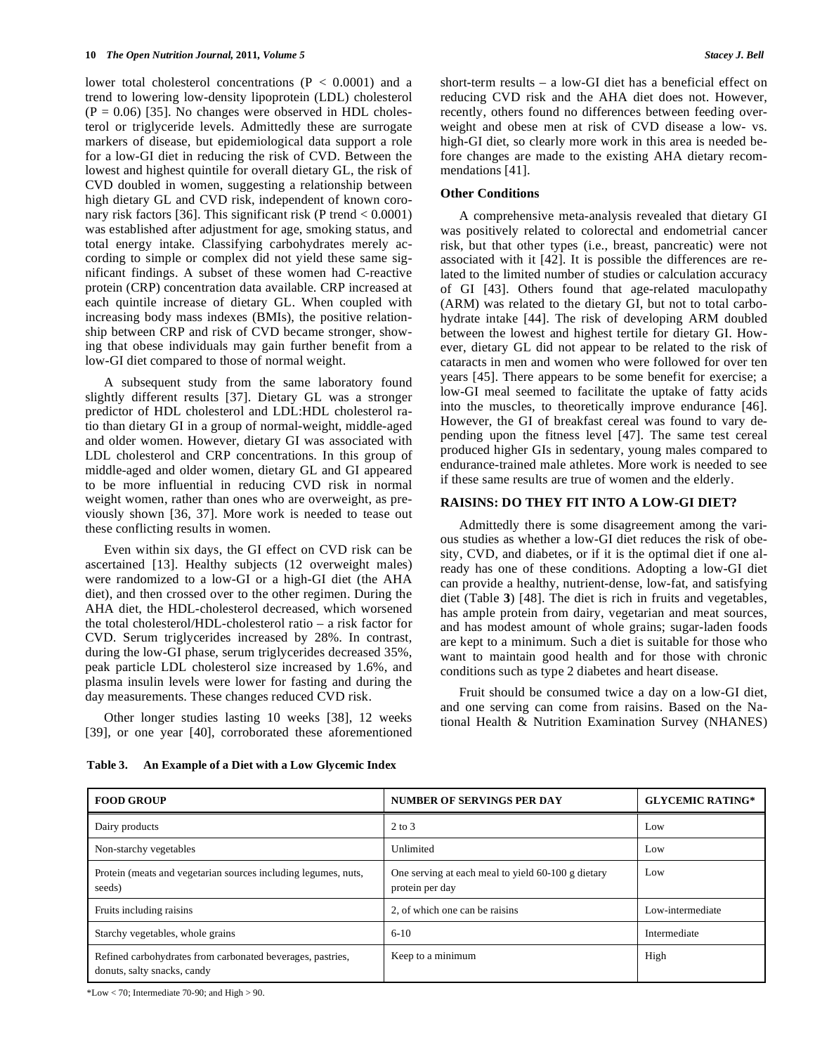lower total cholesterol concentrations ( $P < 0.0001$ ) and a trend to lowering low-density lipoprotein (LDL) cholesterol  $(P = 0.06)$  [35]. No changes were observed in HDL cholesterol or triglyceride levels. Admittedly these are surrogate markers of disease, but epidemiological data support a role for a low-GI diet in reducing the risk of CVD. Between the lowest and highest quintile for overall dietary GL, the risk of CVD doubled in women, suggesting a relationship between high dietary GL and CVD risk, independent of known coronary risk factors [36]. This significant risk (P trend < 0.0001) was established after adjustment for age, smoking status, and total energy intake. Classifying carbohydrates merely according to simple or complex did not yield these same significant findings. A subset of these women had C-reactive protein (CRP) concentration data available. CRP increased at each quintile increase of dietary GL. When coupled with increasing body mass indexes (BMIs), the positive relationship between CRP and risk of CVD became stronger, showing that obese individuals may gain further benefit from a low-GI diet compared to those of normal weight.

 A subsequent study from the same laboratory found slightly different results [37]. Dietary GL was a stronger predictor of HDL cholesterol and LDL:HDL cholesterol ratio than dietary GI in a group of normal-weight, middle-aged and older women. However, dietary GI was associated with LDL cholesterol and CRP concentrations. In this group of middle-aged and older women, dietary GL and GI appeared to be more influential in reducing CVD risk in normal weight women, rather than ones who are overweight, as previously shown [36, 37]. More work is needed to tease out these conflicting results in women.

 Even within six days, the GI effect on CVD risk can be ascertained [13]. Healthy subjects (12 overweight males) were randomized to a low-GI or a high-GI diet (the AHA diet), and then crossed over to the other regimen. During the AHA diet, the HDL-cholesterol decreased, which worsened the total cholesterol/HDL-cholesterol ratio – a risk factor for CVD. Serum triglycerides increased by 28%. In contrast, during the low-GI phase, serum triglycerides decreased 35%, peak particle LDL cholesterol size increased by 1.6%, and plasma insulin levels were lower for fasting and during the day measurements. These changes reduced CVD risk.

 Other longer studies lasting 10 weeks [38], 12 weeks [39], or one year [40], corroborated these aforementioned short-term results – a low-GI diet has a beneficial effect on reducing CVD risk and the AHA diet does not. However, recently, others found no differences between feeding overweight and obese men at risk of CVD disease a low- vs. high-GI diet, so clearly more work in this area is needed before changes are made to the existing AHA dietary recommendations [41].

## **Other Conditions**

 A comprehensive meta-analysis revealed that dietary GI was positively related to colorectal and endometrial cancer risk, but that other types (i.e., breast, pancreatic) were not associated with it [42]. It is possible the differences are related to the limited number of studies or calculation accuracy of GI [43]. Others found that age-related maculopathy (ARM) was related to the dietary GI, but not to total carbohydrate intake [44]. The risk of developing ARM doubled between the lowest and highest tertile for dietary GI. However, dietary GL did not appear to be related to the risk of cataracts in men and women who were followed for over ten years [45]. There appears to be some benefit for exercise; a low-GI meal seemed to facilitate the uptake of fatty acids into the muscles, to theoretically improve endurance [46]. However, the GI of breakfast cereal was found to vary depending upon the fitness level [47]. The same test cereal produced higher GIs in sedentary, young males compared to endurance-trained male athletes. More work is needed to see if these same results are true of women and the elderly.

# **RAISINS: DO THEY FIT INTO A LOW-GI DIET?**

 Admittedly there is some disagreement among the various studies as whether a low-GI diet reduces the risk of obesity, CVD, and diabetes, or if it is the optimal diet if one already has one of these conditions. Adopting a low-GI diet can provide a healthy, nutrient-dense, low-fat, and satisfying diet (Table **3**) [48]. The diet is rich in fruits and vegetables, has ample protein from dairy, vegetarian and meat sources, and has modest amount of whole grains; sugar-laden foods are kept to a minimum. Such a diet is suitable for those who want to maintain good health and for those with chronic conditions such as type 2 diabetes and heart disease.

 Fruit should be consumed twice a day on a low-GI diet, and one serving can come from raisins. Based on the National Health & Nutrition Examination Survey (NHANES)

| <b>FOOD GROUP</b>                                                                         | <b>NUMBER OF SERVINGS PER DAY</b>                                     | <b>GLYCEMIC RATING*</b> |
|-------------------------------------------------------------------------------------------|-----------------------------------------------------------------------|-------------------------|
| Dairy products                                                                            | 2 to 3                                                                | Low                     |
| Non-starchy vegetables                                                                    | Unlimited                                                             | Low                     |
| Protein (meats and vegetarian sources including legumes, nuts,<br>seeds)                  | One serving at each meal to yield 60-100 g dietary<br>protein per day | Low                     |
| Fruits including raisins                                                                  | 2, of which one can be raisins                                        | Low-intermediate        |
| Starchy vegetables, whole grains                                                          | $6 - 10$                                                              | Intermediate            |
| Refined carbohydrates from carbonated beverages, pastries,<br>donuts, salty snacks, candy | Keep to a minimum                                                     | High                    |

**Table 3. An Example of a Diet with a Low Glycemic Index** 

 $*Low < 70$ ; Intermediate 70-90; and High  $> 90$ .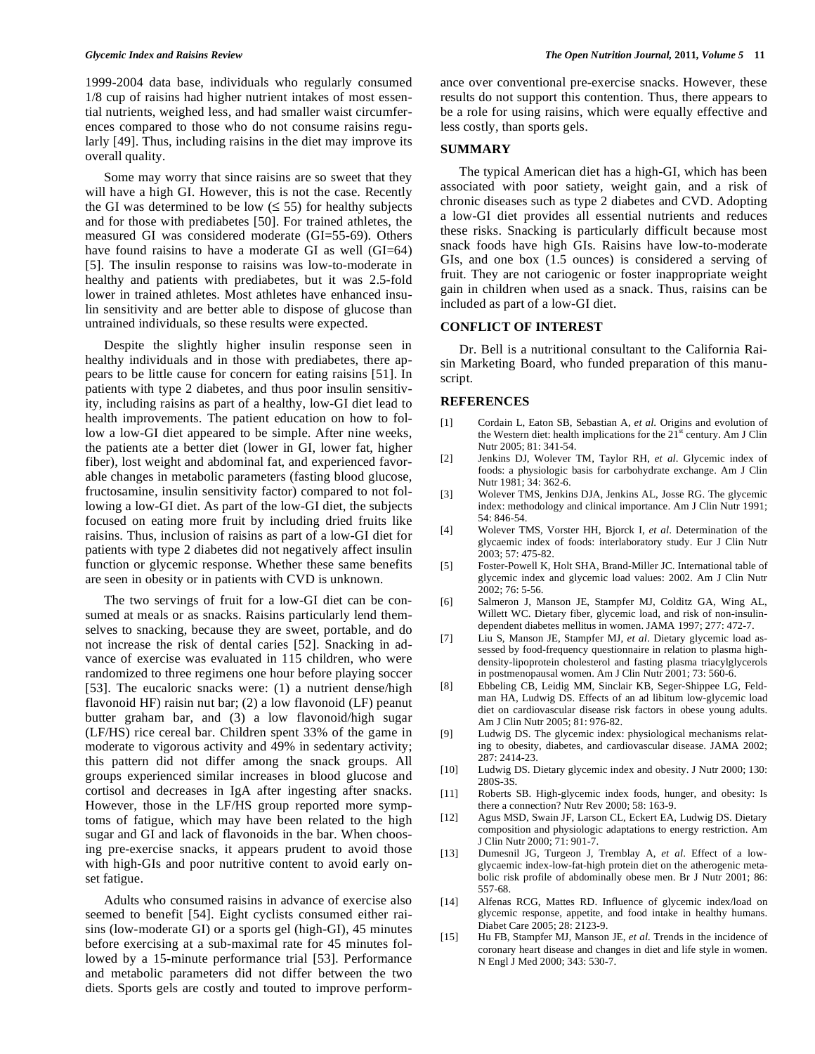1999-2004 data base, individuals who regularly consumed 1/8 cup of raisins had higher nutrient intakes of most essential nutrients, weighed less, and had smaller waist circumferences compared to those who do not consume raisins regularly [49]. Thus, including raisins in the diet may improve its overall quality.

 Some may worry that since raisins are so sweet that they will have a high GI. However, this is not the case. Recently the GI was determined to be low  $( \leq 55)$  for healthy subjects and for those with prediabetes [50]. For trained athletes, the measured GI was considered moderate (GI=55-69). Others have found raisins to have a moderate GI as well (GI=64) [5]. The insulin response to raisins was low-to-moderate in healthy and patients with prediabetes, but it was 2.5-fold lower in trained athletes. Most athletes have enhanced insulin sensitivity and are better able to dispose of glucose than untrained individuals, so these results were expected.

 Despite the slightly higher insulin response seen in healthy individuals and in those with prediabetes, there appears to be little cause for concern for eating raisins [51]. In patients with type 2 diabetes, and thus poor insulin sensitivity, including raisins as part of a healthy, low-GI diet lead to health improvements. The patient education on how to follow a low-GI diet appeared to be simple. After nine weeks, the patients ate a better diet (lower in GI, lower fat, higher fiber), lost weight and abdominal fat, and experienced favorable changes in metabolic parameters (fasting blood glucose, fructosamine, insulin sensitivity factor) compared to not following a low-GI diet. As part of the low-GI diet, the subjects focused on eating more fruit by including dried fruits like raisins. Thus, inclusion of raisins as part of a low-GI diet for patients with type 2 diabetes did not negatively affect insulin function or glycemic response. Whether these same benefits are seen in obesity or in patients with CVD is unknown.

 The two servings of fruit for a low-GI diet can be consumed at meals or as snacks. Raisins particularly lend themselves to snacking, because they are sweet, portable, and do not increase the risk of dental caries [52]. Snacking in advance of exercise was evaluated in 115 children, who were randomized to three regimens one hour before playing soccer [53]. The eucaloric snacks were: (1) a nutrient dense/high flavonoid HF) raisin nut bar; (2) a low flavonoid (LF) peanut butter graham bar, and (3) a low flavonoid/high sugar (LF/HS) rice cereal bar. Children spent 33% of the game in moderate to vigorous activity and 49% in sedentary activity; this pattern did not differ among the snack groups. All groups experienced similar increases in blood glucose and cortisol and decreases in IgA after ingesting after snacks. However, those in the LF/HS group reported more symptoms of fatigue, which may have been related to the high sugar and GI and lack of flavonoids in the bar. When choosing pre-exercise snacks, it appears prudent to avoid those with high-GIs and poor nutritive content to avoid early onset fatigue.

 Adults who consumed raisins in advance of exercise also seemed to benefit [54]. Eight cyclists consumed either raisins (low-moderate GI) or a sports gel (high-GI), 45 minutes before exercising at a sub-maximal rate for 45 minutes followed by a 15-minute performance trial [53]. Performance and metabolic parameters did not differ between the two diets. Sports gels are costly and touted to improve performance over conventional pre-exercise snacks. However, these results do not support this contention. Thus, there appears to be a role for using raisins, which were equally effective and less costly, than sports gels.

# **SUMMARY**

 The typical American diet has a high-GI, which has been associated with poor satiety, weight gain, and a risk of chronic diseases such as type 2 diabetes and CVD. Adopting a low-GI diet provides all essential nutrients and reduces these risks. Snacking is particularly difficult because most snack foods have high GIs. Raisins have low-to-moderate GIs, and one box (1.5 ounces) is considered a serving of fruit. They are not cariogenic or foster inappropriate weight gain in children when used as a snack. Thus, raisins can be included as part of a low-GI diet.

## **CONFLICT OF INTEREST**

 Dr. Bell is a nutritional consultant to the California Raisin Marketing Board, who funded preparation of this manuscript.

## **REFERENCES**

- [1] Cordain L, Eaton SB, Sebastian A, *et al*. Origins and evolution of the Western diet: health implications for the  $21<sup>st</sup>$  century. Am J Clin Nutr 2005; 81: 341-54.
- [2] Jenkins DJ, Wolever TM, Taylor RH, *et al*. Glycemic index of foods: a physiologic basis for carbohydrate exchange. Am J Clin Nutr 1981; 34: 362-6.
- [3] Wolever TMS, Jenkins DJA, Jenkins AL, Josse RG. The glycemic index: methodology and clinical importance. Am J Clin Nutr 1991; 54: 846-54.
- [4] Wolever TMS, Vorster HH, Bjorck I, *et al*. Determination of the glycaemic index of foods: interlaboratory study. Eur J Clin Nutr 2003; 57: 475-82.
- [5] Foster-Powell K, Holt SHA, Brand-Miller JC. International table of glycemic index and glycemic load values: 2002. Am J Clin Nutr 2002; 76: 5-56.
- [6] Salmeron J, Manson JE, Stampfer MJ, Colditz GA, Wing AL, Willett WC. Dietary fiber, glycemic load, and risk of non-insulindependent diabetes mellitus in women. JAMA 1997; 277: 472-7.
- [7] Liu S, Manson JE, Stampfer MJ, *et al*. Dietary glycemic load assessed by food-frequency questionnaire in relation to plasma highdensity-lipoprotein cholesterol and fasting plasma triacylglycerols in postmenopausal women. Am J Clin Nutr 2001; 73: 560-6.
- [8] Ebbeling CB, Leidig MM, Sinclair KB, Seger-Shippee LG, Feldman HA, Ludwig DS. Effects of an ad libitum low-glycemic load diet on cardiovascular disease risk factors in obese young adults. Am J Clin Nutr 2005; 81: 976-82.
- [9] Ludwig DS. The glycemic index: physiological mechanisms relating to obesity, diabetes, and cardiovascular disease. JAMA 2002; 287: 2414-23.
- [10] Ludwig DS. Dietary glycemic index and obesity. J Nutr 2000; 130: 280S-3S.
- [11] Roberts SB. High-glycemic index foods, hunger, and obesity: Is there a connection? Nutr Rev 2000; 58: 163-9.
- [12] Agus MSD, Swain JF, Larson CL, Eckert EA, Ludwig DS. Dietary composition and physiologic adaptations to energy restriction. Am J Clin Nutr 2000; 71: 901-7.
- [13] Dumesnil JG, Turgeon J, Tremblay A, *et al*. Effect of a lowglycaemic index-low-fat-high protein diet on the atherogenic metabolic risk profile of abdominally obese men. Br J Nutr 2001; 86: 557-68.
- [14] Alfenas RCG, Mattes RD. Influence of glycemic index/load on glycemic response, appetite, and food intake in healthy humans. Diabet Care 2005; 28: 2123-9.
- [15] Hu FB, Stampfer MJ, Manson JE, *et al.* Trends in the incidence of coronary heart disease and changes in diet and life style in women. N Engl J Med 2000; 343: 530-7.